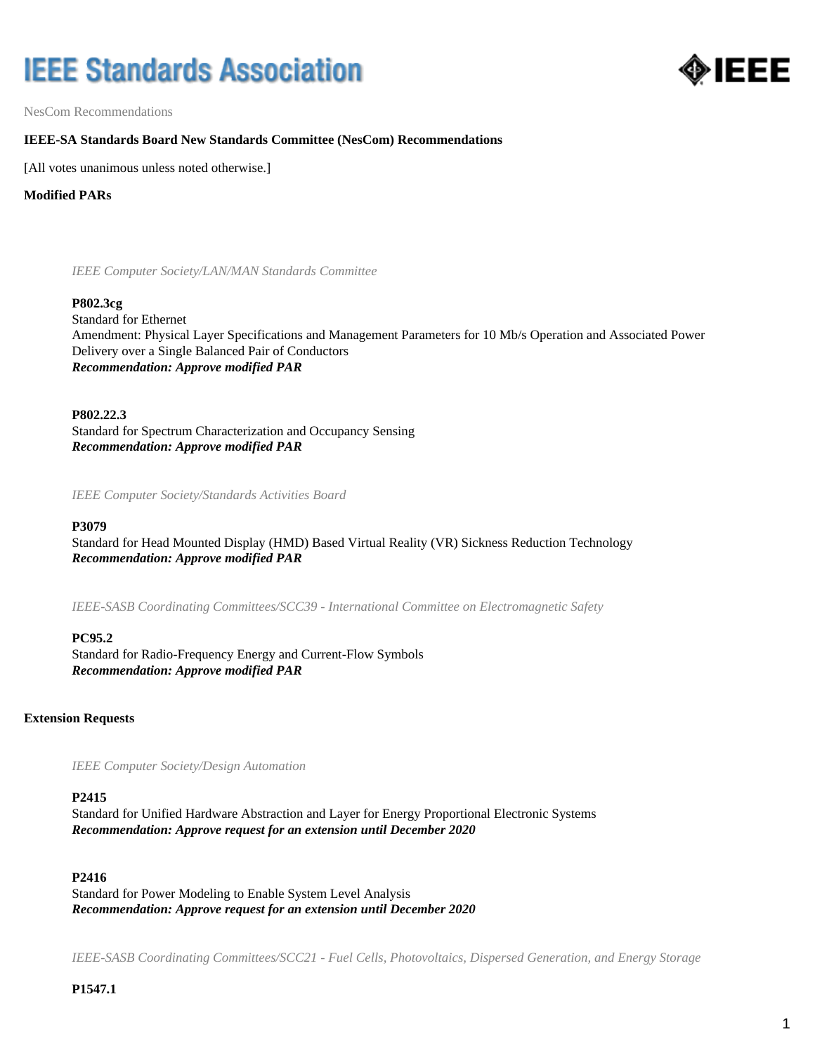# **IEEE Standards Association**



NesCom Recommendations

## **IEEE-SA Standards Board New Standards Committee (NesCom) Recommendations**

[All votes unanimous unless noted otherwise.]

**Modified PARs**

*IEEE Computer Society/LAN/MAN Standards Committee*

#### **P802.3cg**

Standard for Ethernet Amendment: Physical Layer Specifications and Management Parameters for 10 Mb/s Operation and Associated Power Delivery over a Single Balanced Pair of Conductors *Recommendation: Approve modified PAR*

**P802.22.3**

Standard for Spectrum Characterization and Occupancy Sensing *Recommendation: Approve modified PAR*

*IEEE Computer Society/Standards Activities Board*

#### **P3079**

Standard for Head Mounted Display (HMD) Based Virtual Reality (VR) Sickness Reduction Technology *Recommendation: Approve modified PAR*

*IEEE-SASB Coordinating Committees/SCC39 - International Committee on Electromagnetic Safety*

#### **PC95.2**

Standard for Radio-Frequency Energy and Current-Flow Symbols *Recommendation: Approve modified PAR*

#### **Extension Requests**

*IEEE Computer Society/Design Automation*

#### **P2415**

Standard for Unified Hardware Abstraction and Layer for Energy Proportional Electronic Systems *Recommendation: Approve request for an extension until December 2020*

#### **P2416**

Standard for Power Modeling to Enable System Level Analysis *Recommendation: Approve request for an extension until December 2020*

*IEEE-SASB Coordinating Committees/SCC21 - Fuel Cells, Photovoltaics, Dispersed Generation, and Energy Storage*

**P1547.1**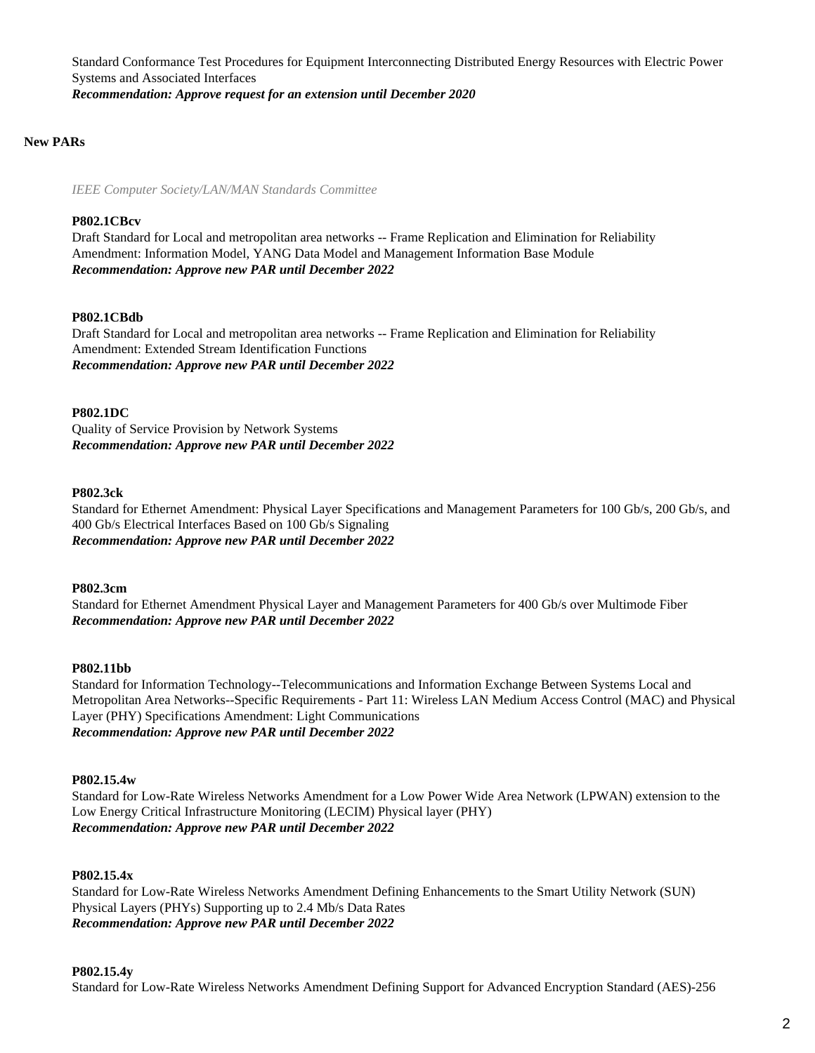Standard Conformance Test Procedures for Equipment Interconnecting Distributed Energy Resources with Electric Power Systems and Associated Interfaces *Recommendation: Approve request for an extension until December 2020*

## **New PARs**

*IEEE Computer Society/LAN/MAN Standards Committee*

## **P802.1CBcv**

Draft Standard for Local and metropolitan area networks -- Frame Replication and Elimination for Reliability Amendment: Information Model, YANG Data Model and Management Information Base Module *Recommendation: Approve new PAR until December 2022*

## **P802.1CBdb**

Draft Standard for Local and metropolitan area networks -- Frame Replication and Elimination for Reliability Amendment: Extended Stream Identification Functions *Recommendation: Approve new PAR until December 2022*

#### **P802.1DC**

Quality of Service Provision by Network Systems *Recommendation: Approve new PAR until December 2022*

#### **P802.3ck**

Standard for Ethernet Amendment: Physical Layer Specifications and Management Parameters for 100 Gb/s, 200 Gb/s, and 400 Gb/s Electrical Interfaces Based on 100 Gb/s Signaling *Recommendation: Approve new PAR until December 2022*

#### **P802.3cm**

Standard for Ethernet Amendment Physical Layer and Management Parameters for 400 Gb/s over Multimode Fiber *Recommendation: Approve new PAR until December 2022*

#### **P802.11bb**

Standard for Information Technology--Telecommunications and Information Exchange Between Systems Local and Metropolitan Area Networks--Specific Requirements - Part 11: Wireless LAN Medium Access Control (MAC) and Physical Layer (PHY) Specifications Amendment: Light Communications *Recommendation: Approve new PAR until December 2022*

#### **P802.15.4w**

Standard for Low-Rate Wireless Networks Amendment for a Low Power Wide Area Network (LPWAN) extension to the Low Energy Critical Infrastructure Monitoring (LECIM) Physical layer (PHY) *Recommendation: Approve new PAR until December 2022*

## **P802.15.4x**

Standard for Low-Rate Wireless Networks Amendment Defining Enhancements to the Smart Utility Network (SUN) Physical Layers (PHYs) Supporting up to 2.4 Mb/s Data Rates *Recommendation: Approve new PAR until December 2022*

## **P802.15.4y**

Standard for Low-Rate Wireless Networks Amendment Defining Support for Advanced Encryption Standard (AES)-256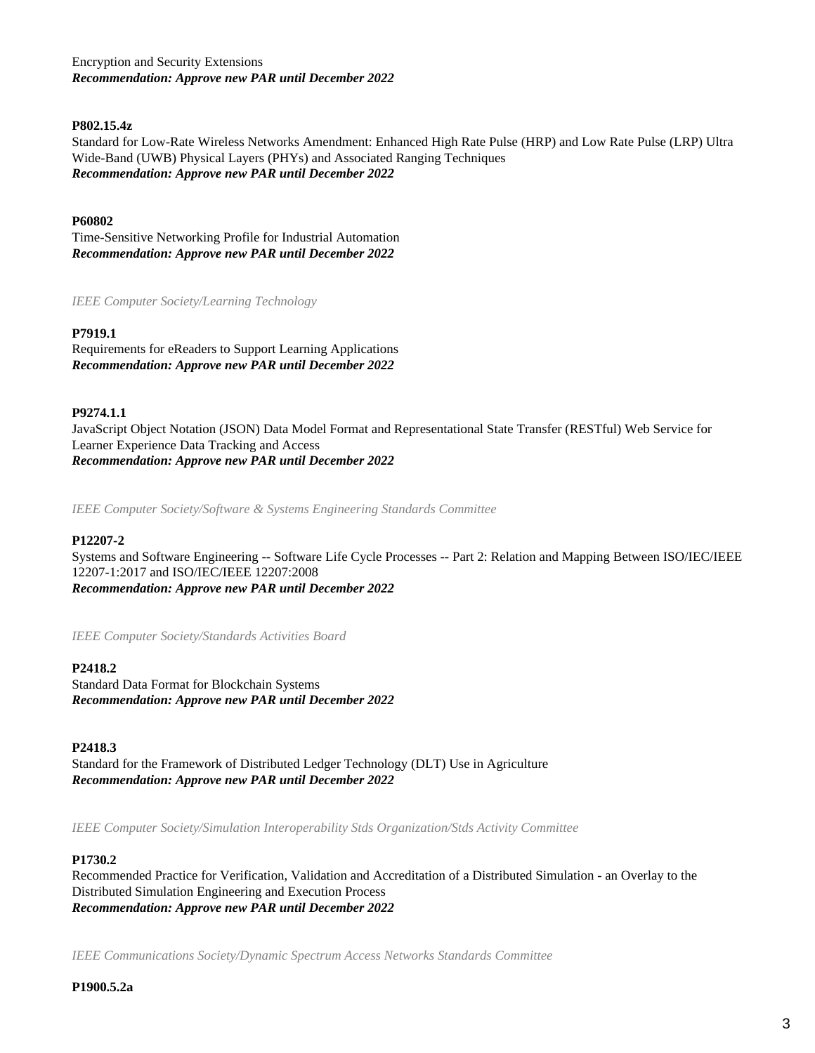Encryption and Security Extensions *Recommendation: Approve new PAR until December 2022*

### **P802.15.4z**

Standard for Low-Rate Wireless Networks Amendment: Enhanced High Rate Pulse (HRP) and Low Rate Pulse (LRP) Ultra Wide-Band (UWB) Physical Layers (PHYs) and Associated Ranging Techniques *Recommendation: Approve new PAR until December 2022*

#### **P60802**

Time-Sensitive Networking Profile for Industrial Automation *Recommendation: Approve new PAR until December 2022*

*IEEE Computer Society/Learning Technology*

#### **P7919.1**

Requirements for eReaders to Support Learning Applications *Recommendation: Approve new PAR until December 2022*

#### **P9274.1.1**

JavaScript Object Notation (JSON) Data Model Format and Representational State Transfer (RESTful) Web Service for Learner Experience Data Tracking and Access *Recommendation: Approve new PAR until December 2022*

*IEEE Computer Society/Software & Systems Engineering Standards Committee*

#### **P12207-2**

Systems and Software Engineering -- Software Life Cycle Processes -- Part 2: Relation and Mapping Between ISO/IEC/IEEE 12207-1:2017 and ISO/IEC/IEEE 12207:2008 *Recommendation: Approve new PAR until December 2022*

*IEEE Computer Society/Standards Activities Board*

#### **P2418.2**

Standard Data Format for Blockchain Systems *Recommendation: Approve new PAR until December 2022*

#### **P2418.3**

Standard for the Framework of Distributed Ledger Technology (DLT) Use in Agriculture *Recommendation: Approve new PAR until December 2022*

*IEEE Computer Society/Simulation Interoperability Stds Organization/Stds Activity Committee*

#### **P1730.2**

Recommended Practice for Verification, Validation and Accreditation of a Distributed Simulation - an Overlay to the Distributed Simulation Engineering and Execution Process *Recommendation: Approve new PAR until December 2022*

*IEEE Communications Society/Dynamic Spectrum Access Networks Standards Committee*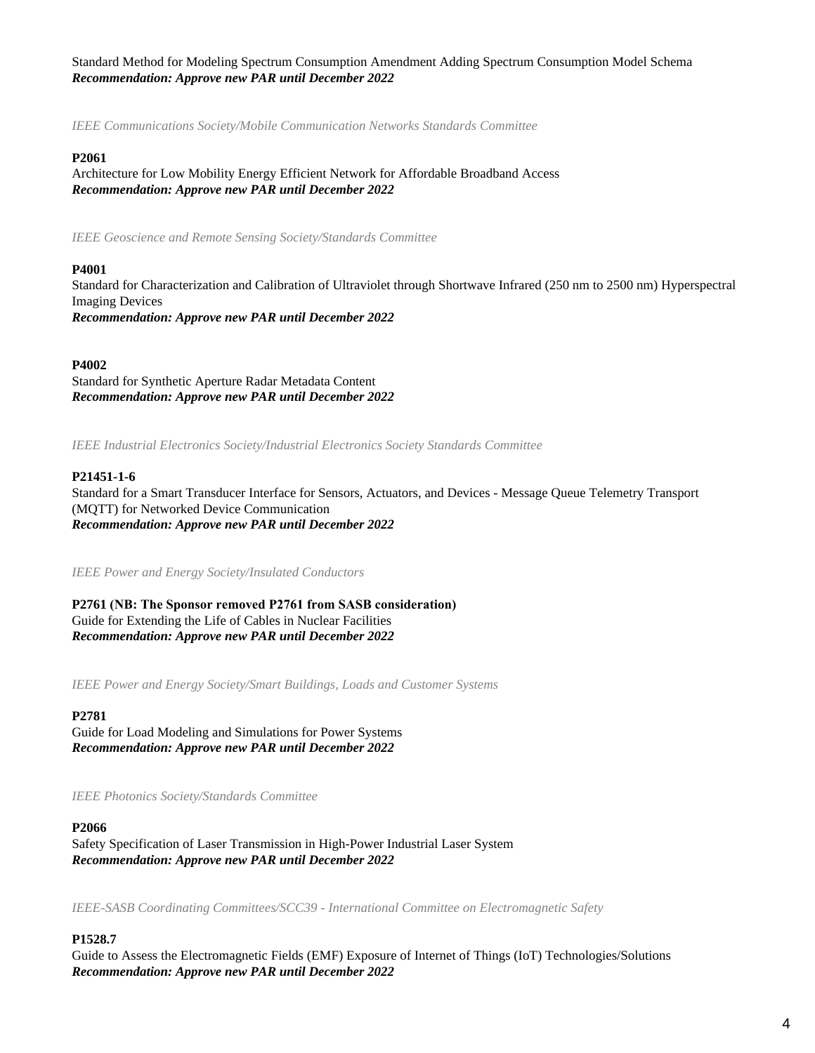Standard Method for Modeling Spectrum Consumption Amendment Adding Spectrum Consumption Model Schema *Recommendation: Approve new PAR until December 2022*

*IEEE Communications Society/Mobile Communication Networks Standards Committee*

#### **P2061**

Architecture for Low Mobility Energy Efficient Network for Affordable Broadband Access *Recommendation: Approve new PAR until December 2022*

*IEEE Geoscience and Remote Sensing Society/Standards Committee*

#### **P4001**

Standard for Characterization and Calibration of Ultraviolet through Shortwave Infrared (250 nm to 2500 nm) Hyperspectral Imaging Devices *Recommendation: Approve new PAR until December 2022*

#### **P4002**

Standard for Synthetic Aperture Radar Metadata Content *Recommendation: Approve new PAR until December 2022*

*IEEE Industrial Electronics Society/Industrial Electronics Society Standards Committee*

#### **P21451-1-6**

Standard for a Smart Transducer Interface for Sensors, Actuators, and Devices - Message Queue Telemetry Transport (MQTT) for Networked Device Communication *Recommendation: Approve new PAR until December 2022*

*IEEE Power and Energy Society/Insulated Conductors*

**P2761 (NB: The Sponsor removed P2761 from SASB consideration)** Guide for Extending the Life of Cables in Nuclear Facilities *Recommendation: Approve new PAR until December 2022*

*IEEE Power and Energy Society/Smart Buildings, Loads and Customer Systems*

#### **P2781**

Guide for Load Modeling and Simulations for Power Systems *Recommendation: Approve new PAR until December 2022*

*IEEE Photonics Society/Standards Committee*

#### **P2066**

Safety Specification of Laser Transmission in High-Power Industrial Laser System *Recommendation: Approve new PAR until December 2022*

*IEEE-SASB Coordinating Committees/SCC39 - International Committee on Electromagnetic Safety*

## **P1528.7**

Guide to Assess the Electromagnetic Fields (EMF) Exposure of Internet of Things (IoT) Technologies/Solutions *Recommendation: Approve new PAR until December 2022*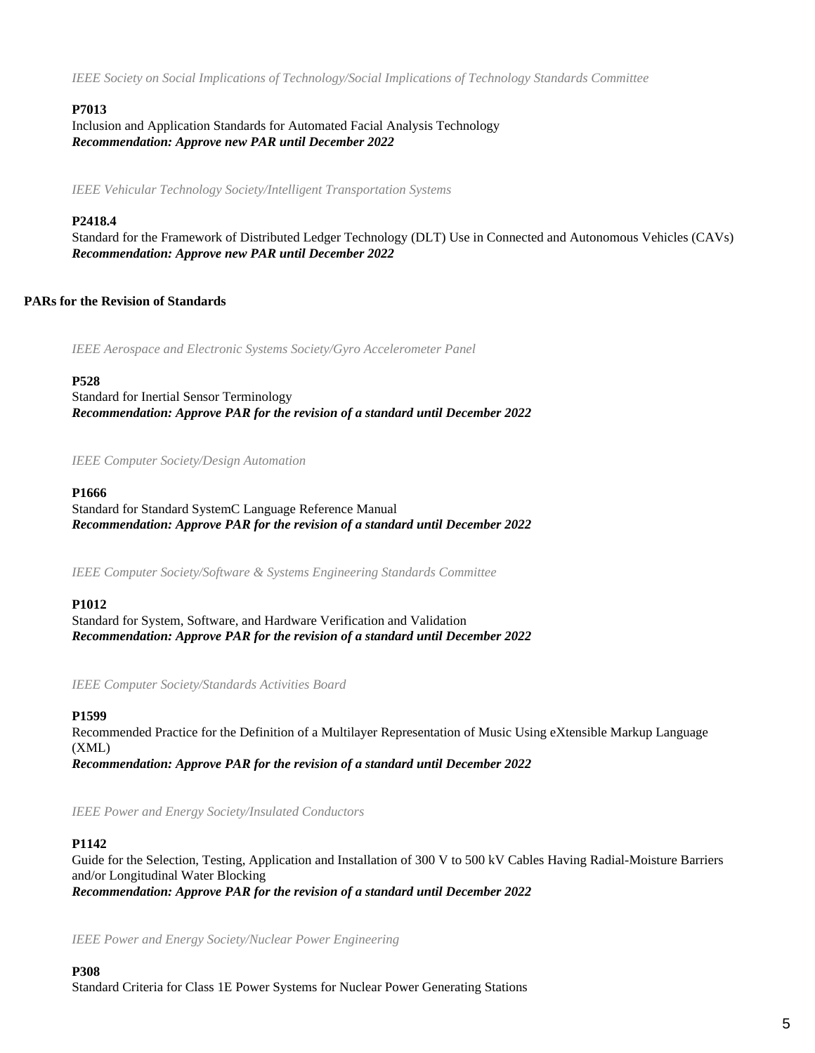*IEEE Society on Social Implications of Technology/Social Implications of Technology Standards Committee*

## **P7013**

Inclusion and Application Standards for Automated Facial Analysis Technology *Recommendation: Approve new PAR until December 2022*

*IEEE Vehicular Technology Society/Intelligent Transportation Systems*

## **P2418.4**

Standard for the Framework of Distributed Ledger Technology (DLT) Use in Connected and Autonomous Vehicles (CAVs) *Recommendation: Approve new PAR until December 2022*

## **PARs for the Revision of Standards**

*IEEE Aerospace and Electronic Systems Society/Gyro Accelerometer Panel*

#### **P528**

Standard for Inertial Sensor Terminology *Recommendation: Approve PAR for the revision of a standard until December 2022*

#### *IEEE Computer Society/Design Automation*

#### **P1666**

Standard for Standard SystemC Language Reference Manual *Recommendation: Approve PAR for the revision of a standard until December 2022*

*IEEE Computer Society/Software & Systems Engineering Standards Committee*

#### **P1012**

Standard for System, Software, and Hardware Verification and Validation *Recommendation: Approve PAR for the revision of a standard until December 2022*

*IEEE Computer Society/Standards Activities Board*

#### **P1599**

Recommended Practice for the Definition of a Multilayer Representation of Music Using eXtensible Markup Language (XML) *Recommendation: Approve PAR for the revision of a standard until December 2022*

*IEEE Power and Energy Society/Insulated Conductors*

## **P1142**

Guide for the Selection, Testing, Application and Installation of 300 V to 500 kV Cables Having Radial-Moisture Barriers and/or Longitudinal Water Blocking *Recommendation: Approve PAR for the revision of a standard until December 2022*

*IEEE Power and Energy Society/Nuclear Power Engineering*

**P308** Standard Criteria for Class 1E Power Systems for Nuclear Power Generating Stations